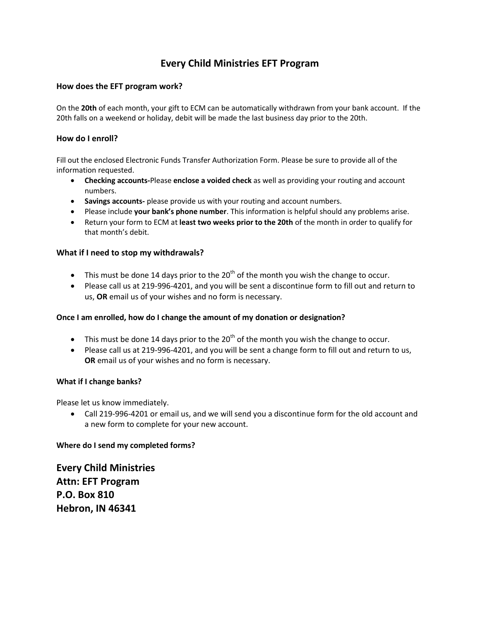# **Every Child Ministries EFT Program**

## **How does the EFT program work?**

On the **20th** of each month, your gift to ECM can be automatically withdrawn from your bank account. If the 20th falls on a weekend or holiday, debit will be made the last business day prior to the 20th.

#### **How do I enroll?**

Fill out the enclosed Electronic Funds Transfer Authorization Form. Please be sure to provide all of the information requested.

- **Checking accounts-**Please **enclose a voided check** as well as providing your routing and account numbers.
- **Savings accounts-** please provide us with your routing and account numbers.
- Please include **your bank's phone number**. This information is helpful should any problems arise.
- Return your form to ECM at **least two weeks prior to the 20th** of the month in order to qualify for that month's debit.

## **What if I need to stop my withdrawals?**

- This must be done 14 days prior to the  $20<sup>th</sup>$  of the month you wish the change to occur.
- Please call us at 219-996-4201, and you will be sent a discontinue form to fill out and return to us, **OR** email us of your wishes and no form is necessary.

#### **Once I am enrolled, how do I change the amount of my donation or designation?**

- This must be done 14 days prior to the  $20<sup>th</sup>$  of the month you wish the change to occur.
- Please call us at 219-996-4201, and you will be sent a change form to fill out and return to us, **OR** email us of your wishes and no form is necessary.

#### **What if I change banks?**

Please let us know immediately.

 Call 219-996-4201 or email us, and we will send you a discontinue form for the old account and a new form to complete for your new account.

#### **Where do I send my completed forms?**

**Every Child Ministries Attn: EFT Program P.O. Box 810 Hebron, IN 46341**